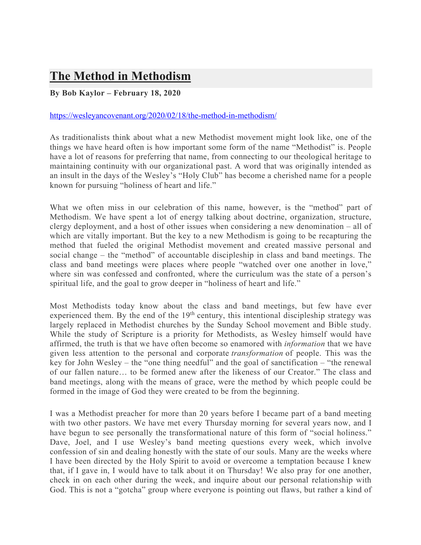## **The Method in Methodism**

## **By Bob Kaylor – February 18, 2020**

## https://wesleyancovenant.org/2020/02/18/the-method-in-methodism/

As traditionalists think about what a new Methodist movement might look like, one of the things we have heard often is how important some form of the name "Methodist" is. People have a lot of reasons for preferring that name, from connecting to our theological heritage to maintaining continuity with our organizational past. A word that was originally intended as an insult in the days of the Wesley's "Holy Club" has become a cherished name for a people known for pursuing "holiness of heart and life."

What we often miss in our celebration of this name, however, is the "method" part of Methodism. We have spent a lot of energy talking about doctrine, organization, structure, clergy deployment, and a host of other issues when considering a new denomination – all of which are vitally important. But the key to a new Methodism is going to be recapturing the method that fueled the original Methodist movement and created massive personal and social change – the "method" of accountable discipleship in class and band meetings. The class and band meetings were places where people "watched over one another in love," where sin was confessed and confronted, where the curriculum was the state of a person's spiritual life, and the goal to grow deeper in "holiness of heart and life."

Most Methodists today know about the class and band meetings, but few have ever experienced them. By the end of the  $19<sup>th</sup>$  century, this intentional discipleship strategy was largely replaced in Methodist churches by the Sunday School movement and Bible study. While the study of Scripture is a priority for Methodists, as Wesley himself would have affirmed, the truth is that we have often become so enamored with *information* that we have given less attention to the personal and corporate *transformation* of people. This was the key for John Wesley – the "one thing needful" and the goal of sanctification – "the renewal of our fallen nature… to be formed anew after the likeness of our Creator." The class and band meetings, along with the means of grace, were the method by which people could be formed in the image of God they were created to be from the beginning.

I was a Methodist preacher for more than 20 years before I became part of a band meeting with two other pastors. We have met every Thursday morning for several years now, and I have begun to see personally the transformational nature of this form of "social holiness." Dave, Joel, and I use Wesley's band meeting questions every week, which involve confession of sin and dealing honestly with the state of our souls. Many are the weeks where I have been directed by the Holy Spirit to avoid or overcome a temptation because I knew that, if I gave in, I would have to talk about it on Thursday! We also pray for one another, check in on each other during the week, and inquire about our personal relationship with God. This is not a "gotcha" group where everyone is pointing out flaws, but rather a kind of